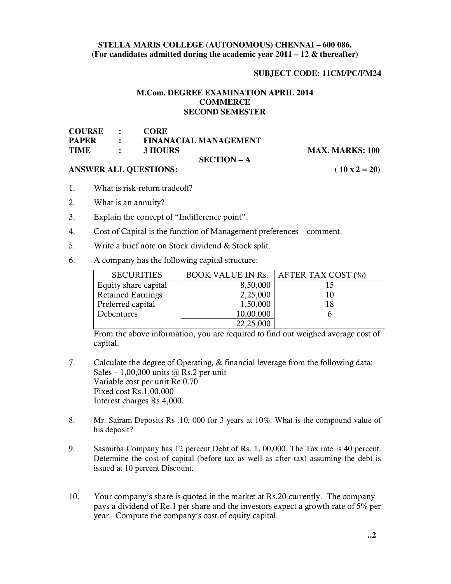### **STELLA MARIS COLLEGE (AUTONOMOUS) CHENNAI – 600 086. (For candidates admitted during the academic year 2011 – 12 & thereafter)**

## **SUBJECT CODE: 11CM/PC/FM24**

# **M.Com. DEGREE EXAMINATION APRIL 2014 COMMERCE SECOND SEMESTER**

| COURSE :     |                             | CORE                         |
|--------------|-----------------------------|------------------------------|
| <b>PAPER</b> | $\mathcal{L} = \mathcal{L}$ | <b>FINANACIAL MANAGEMENT</b> |
| <b>TIME</b>  | <b>Contract Contract</b>    | <b>3 HOURS</b>               |
|              |                             | ----------                   |

## **SECTION – A**

**MAX. MARKS: 100** 

## ANSWER ALL QUESTIONS: (10 x 2 = 20)

- 1. What is risk-return tradeoff?
- 2. What is an annuity?
- 3. Explain the concept of "Indifference point".
- 4. Cost of Capital is the function of Management preferences comment.
- 5. Write a brief note on Stock dividend & Stock split.
- 6. A company has the following capital structure:

| <b>SECURITIES</b>        | <b>BOOK VALUE IN Rs.</b> | AFTER TAX COST (%) |
|--------------------------|--------------------------|--------------------|
| Equity share capital     | 8,50,000                 |                    |
| <b>Retained Earnings</b> | 2,25,000                 | 10                 |
| Preferred capital        | 1,50,000                 | 18                 |
| Debentures               | 10,00,000                |                    |
|                          | 22,25,000                |                    |

From the above information, you are required to find out weighed average cost of capital.

- 7. Calculate the degree of Operating, & financial leverage from the following data: Sales – 1,00,000 units  $\omega$  Rs.2 per unit Variable cost per unit Re.0.70 Fixed cost Rs.1,00,000 Interest charges Rs.4,000.
- 8. Mr. Sairam Deposits Rs .10, 000 for 3 years at 10%. What is the compound value of his deposit?
- 9. Sasmitha Company has 12 percent Debt of Rs. 1, 00,000. The Tax rate is 40 percent. Determine the cost of capital (before tax as well as after tax) assuming the debt is issued at 10 percent Discount.
- 10. Your company's share is quoted in the market at Rs.20 currently. The company pays a dividend of Re.1 per share and the investors expect a growth rate of 5% per year. Compute the company's cost of equity capital.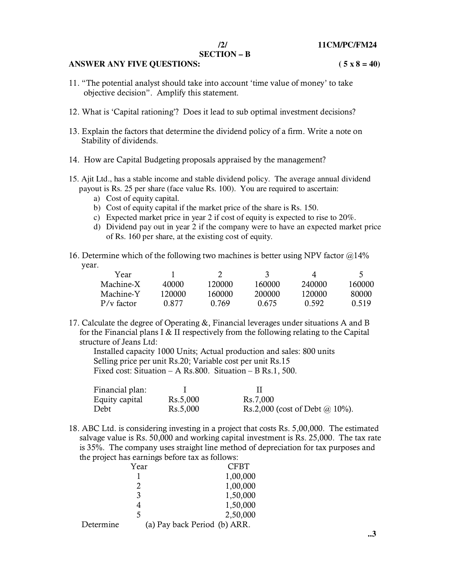### **SECTION – B**

#### ANSWER ANY FIVE QUESTIONS:  $(5 \times 8 = 40)$

- 11. "The potential analyst should take into account 'time value of money' to take objective decision". Amplify this statement.
- 12. What is 'Capital rationing'? Does it lead to sub optimal investment decisions?
- 13. Explain the factors that determine the dividend policy of a firm. Write a note on Stability of dividends.
- 14. How are Capital Budgeting proposals appraised by the management?
- 15. Ajit Ltd., has a stable income and stable dividend policy. The average annual dividend payout is Rs. 25 per share (face value Rs. 100). You are required to ascertain:
	- a) Cost of equity capital.
	- b) Cost of equity capital if the market price of the share is Rs. 150.
	- c) Expected market price in year 2 if cost of equity is expected to rise to 20%.
	- d) Dividend pay out in year 2 if the company were to have an expected market price of Rs. 160 per share, at the existing cost of equity.
- 16. Determine which of the following two machines is better using NPV factor  $@14\%$ year.

| Year         |        |        | 3      | $\Delta$ |        |
|--------------|--------|--------|--------|----------|--------|
| Machine-X    | 40000  | 120000 | 160000 | 240000   | 160000 |
| Machine-Y    | 120000 | 160000 | 200000 | 120000   | -80000 |
| $P/v$ factor | 0.877  | 0.769  | 0.675  | 0.592    | 0.519  |

17. Calculate the degree of Operating &, Financial leverages under situations A and B for the Financial plans I & II respectively from the following relating to the Capital structure of Jeans Ltd:

 Installed capacity 1000 Units; Actual production and sales: 800 units Selling price per unit Rs.20; Variable cost per unit Rs.15 Fixed cost: Situation – A Rs.800. Situation – B Rs.1, 500.

| Financial plan: |          |                                       |
|-----------------|----------|---------------------------------------|
| Equity capital  | Rs.5,000 | Rs.7,000                              |
| Debt            | Rs.5,000 | Rs.2,000 (cost of Debt $\omega$ 10%). |

18. ABC Ltd. is considering investing in a project that costs Rs. 5,00,000. The estimated salvage value is Rs. 50,000 and working capital investment is Rs. 25,000. The tax rate is 35%. The company uses straight line method of depreciation for tax purposes and the project has earnings before tax as follows:

|           | Year                         | <b>CFBT</b> |
|-----------|------------------------------|-------------|
|           |                              | 1,00,000    |
|           | 2                            | 1,00,000    |
|           | 3                            | 1,50,000    |
|           |                              | 1,50,000    |
|           | 5                            | 2,50,000    |
| Determine | (a) Pay back Period (b) ARR. |             |